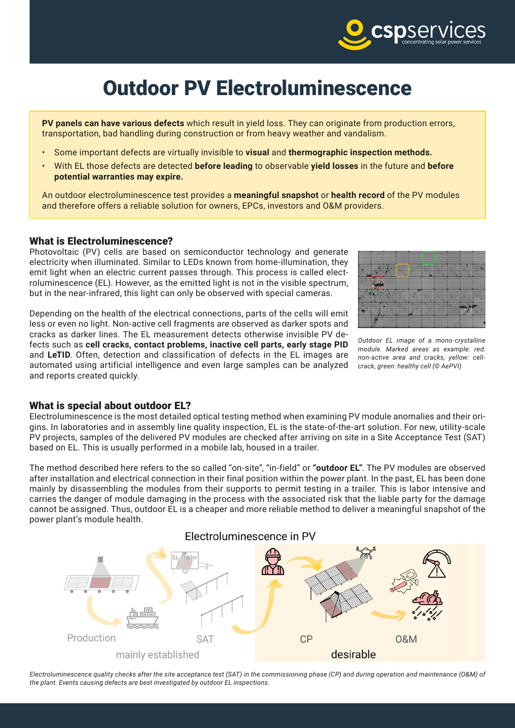

# Outdoor PV Electroluminescence

**PV panels can have various defects** which result in yield loss. They can originate from production errors, transportation, bad handling during construction or from heavy weather and vandalism.

- Some important defects are virtually invisible to **visual** and **thermographic inspection methods.**
- With EL those defects are detected **before leading** to observable **yield losses** in the future and **before potential warranties may expire.**

An outdoor electroluminescence test provides a **meaningful snapshot** or **health record** of the PV modules and therefore offers a reliable solution for owners, EPCs, investors and O&M providers.

#### What is Electroluminescence?

Photovoltaic (PV) cells are based on semiconductor technology and generate electricity when illuminated. Similar to LEDs known from home-illumination, they emit light when an electric current passes through. This process is called electroluminescence (EL). However, as the emitted light is not in the visible spectrum, but in the near-infrared, this light can only be observed with special cameras.

Depending on the health of the electrical connections, parts of the cells will emit less or even no light. Non-active cell fragments are observed as darker spots and cracks as darker lines. The EL measurement detects otherwise invisible PV defects such as **cell cracks, contact problems, inactive cell parts, early stage PID** and **LeTID**. Often, detection and classification of defects in the EL images are automated using artificial intelligence and even large samples can be analyzed and reports created quickly.



*Outdoor EL image of a mono-crystalline module. Marked areas as example: red: non-active area and cracks, yellow: cellcrack, green: healthy cell (© AePVI)*

#### What is special about outdoor EL?

Electroluminescence is the most detailed optical testing method when examining PV module anomalies and their origins. In laboratories and in assembly line quality inspection, EL is the state-of-the-art solution. For new, utility-scale PV projects, samples of the delivered PV modules are checked after arriving on site in a Site Acceptance Test (SAT) based on EL. This is usually performed in a mobile lab, housed in a trailer.

The method described here refers to the so called "on-site", "in-field" or **"outdoor EL"**. The PV modules are observed after installation and electrical connection in their final position within the power plant. In the past, EL has been done mainly by disassembling the modules from their supports to permit testing in a trailer. This is labor intensive and carries the danger of module damaging in the process with the associated risk that the liable party for the damage cannot be assigned. Thus, outdoor EL is a cheaper and more reliable method to deliver a meaningful snapshot of the power plant's module health.



*Electroluminescence quality checks after the site acceptance test (SAT) in the commissioning phase (CP) and during operation and maintenance (O&M) of the plant. Events causing defects are best investigated by outdoor EL inspections.*